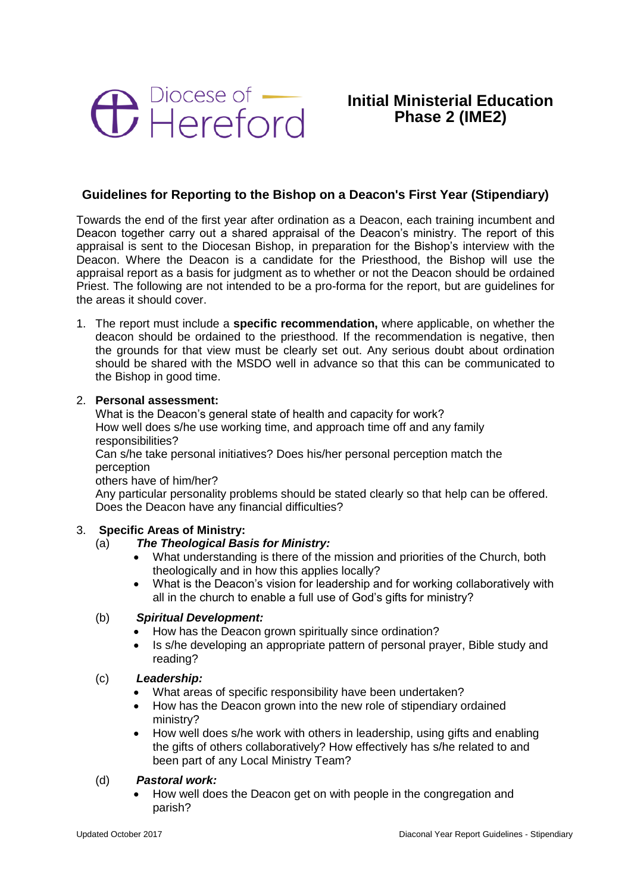

# **Initial Ministerial Education Phase 2 (IME2)**

# **Guidelines for Reporting to the Bishop on a Deacon's First Year (Stipendiary)**

Towards the end of the first year after ordination as a Deacon, each training incumbent and Deacon together carry out a shared appraisal of the Deacon's ministry. The report of this appraisal is sent to the Diocesan Bishop, in preparation for the Bishop's interview with the Deacon. Where the Deacon is a candidate for the Priesthood, the Bishop will use the appraisal report as a basis for judgment as to whether or not the Deacon should be ordained Priest. The following are not intended to be a pro-forma for the report, but are guidelines for the areas it should cover.

1. The report must include a **specific recommendation,** where applicable, on whether the deacon should be ordained to the priesthood. If the recommendation is negative, then the grounds for that view must be clearly set out. Any serious doubt about ordination should be shared with the MSDO well in advance so that this can be communicated to the Bishop in good time.

#### 2. **Personal assessment:**

What is the Deacon's general state of health and capacity for work? How well does s/he use working time, and approach time off and any family responsibilities?

Can s/he take personal initiatives? Does his/her personal perception match the perception

others have of him/her?

Any particular personality problems should be stated clearly so that help can be offered. Does the Deacon have any financial difficulties?

## 3. **Specific Areas of Ministry:**

# (a) *The Theological Basis for Ministry:*

- What understanding is there of the mission and priorities of the Church, both theologically and in how this applies locally?
- What is the Deacon's vision for leadership and for working collaboratively with all in the church to enable a full use of God's gifts for ministry?

#### (b) *Spiritual Development:*

- How has the Deacon grown spiritually since ordination?
- Is s/he developing an appropriate pattern of personal prayer, Bible study and reading?

#### (c) *Leadership:*

- What areas of specific responsibility have been undertaken?
- How has the Deacon grown into the new role of stipendiary ordained ministry?
- How well does s/he work with others in leadership, using gifts and enabling the gifts of others collaboratively? How effectively has s/he related to and been part of any Local Ministry Team?

#### (d) *Pastoral work:*

 How well does the Deacon get on with people in the congregation and parish?